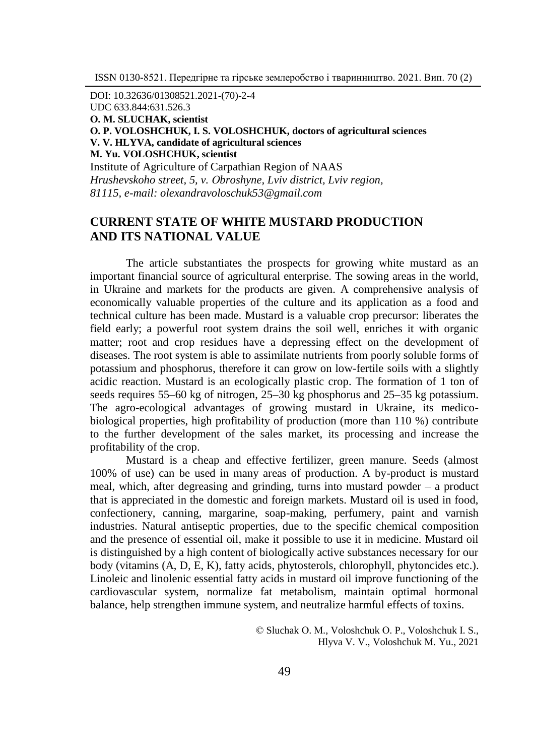DOI: 10.32636/01308521.2021-(70)-2-4 UDC 633.844:631.526.3 **О. М. SLUCHAK, scientist О. P. VOLOSHCHUK, І. S. VOLOSHCHUK, doctors of agricultural sciences V. V. HLYVA, candidate of agricultural sciences М. Yu. VOLOSHCHUK, scientist** Institute of Agriculture of Carpathian Region of NAAS *Hrushevskoho street, 5, v. Оbroshyne, Lviv district, Lviv region,* 

*81115, e-mail: olexandravoloschuk53@gmail.com*

# **CURRENT STATE OF WHITE MUSTARD PRODUCTION AND ITS NATIONAL VALUE**

The article substantiates the prospects for growing white mustard as an important financial source of agricultural enterprise. The sowing areas in the world, in Ukraine and markets for the products are given. A comprehensive analysis of economically valuable properties of the culture and its application as a food and technical culture has been made. Mustard is a valuable crop precursor: liberates the field early; a powerful root system drains the soil well, enriches it with organic matter; root and crop residues have a depressing effect on the development of diseases. The root system is able to assimilate nutrients from poorly soluble forms of potassium and phosphorus, therefore it can grow on low-fertile soils with a slightly acidic reaction. Mustard is an ecologically plastic crop. The formation of 1 ton of seeds requires 55–60 kg of nitrogen, 25–30 kg phosphorus and 25–35 kg potassium. The agro-ecological advantages of growing mustard in Ukraine, its medicobiological properties, high profitability of production (more than 110 %) contribute to the further development of the sales market, its processing and increase the profitability of the crop.

Mustard is a cheap and effective fertilizer, green manure. Seeds (almost 100% of use) can be used in many areas of production. A by-product is mustard meal, which, after degreasing and grinding, turns into mustard powder – a product that is appreciated in the domestic and foreign markets. Mustard oil is used in food, confectionery, canning, margarine, soap-making, perfumery, paint and varnish industries. Natural antiseptic properties, due to the specific chemical composition and the presence of essential oil, make it possible to use it in medicine. Mustard oil is distinguished by a high content of biologically active substances necessary for our body (vitamins (A, D, E, K), fatty acids, phytosterols, chlorophyll, phytoncides etc.). Linoleic and linolenic essential fatty acids in mustard oil improve functioning of the cardiovascular system, normalize fat metabolism, maintain optimal hormonal balance, help strengthen immune system, and neutralize harmful effects of toxins.

> © Sluchak О. М., Voloshchuk О. P., Voloshchuk І. S., Hlyva V. V., Voloshchuk М. Yu., 2021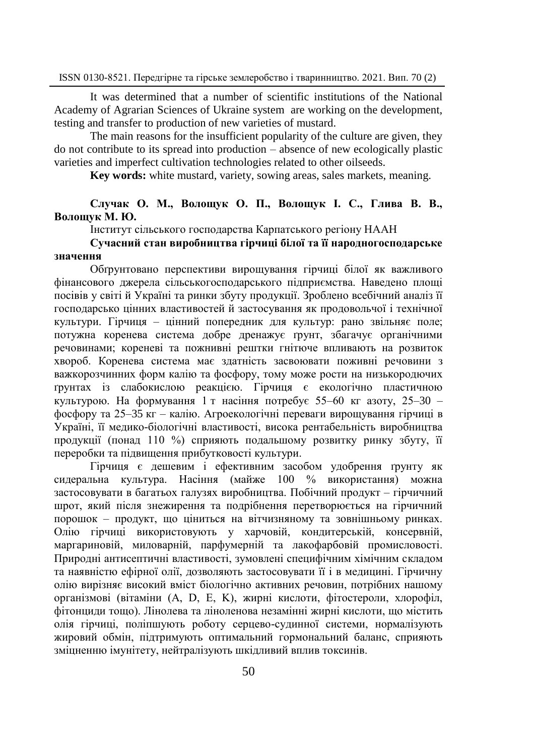It was determined that a number of scientific institutions of the National Academy of Agrarian Sciences of Ukraine system are working on the development, testing and transfer to production of new varieties of mustard.

The main reasons for the insufficient popularity of the culture are given, they do not contribute to its spread into production – absence of new ecologically plastic varieties and imperfect cultivation technologies related to other oilseeds.

**Key words:** white mustard, variety, sowing areas, sales markets, meaning.

## **Случак О. М., Волощук О. П., Волощук І. С., Глива В. В., Волощук М. Ю.**

Інститут сільського господарства Карпатського регіону НААН

### **Сучасний стан виробництва гірчиці білої та її народногосподарське значення**

Обґрунтовано перспективи вирощування гірчиці білої як важливого фінансового джерела сільськогосподарського підприємства. Наведено площі посівів у світі й Україні та ринки збуту продукції. Зроблено всебічний аналіз її господарсько цінних властивостей й застосування як продовольчої і технічної культури. Гірчиця – цінний попередник для культур: рано звільняє поле; потужна коренева система добре дренажує ґрунт, збагачує органічними речовинами; кореневі та пожнивні рештки гнітюче впливають на розвиток хвороб. Коренева система має здатність засвоювати поживні речовини з важкорозчинних форм калію та фосфору, тому може рости на низькородючих ґрунтах із слабокислою реакцією. Гірчиця є екологічно пластичною культурою. На формування 1 т насіння потребує 55–60 кг азоту, 25–30 – фосфору та 25–35 кг – калію. Агроекологічні переваги вирощування гірчиці в Україні, її медико-біологічні властивості, висока рентабельність виробництва продукції (понад 110 %) сприяють подальшому розвитку ринку збуту, її переробки та підвищення прибутковості культури.

Гірчиця є дешевим і ефективним засобом удобрення ґрунту як сидеральна культура. Насіння (майже 100 % використання) можна застосовувати в багатьох галузях виробництва. Побічний продукт – гірчичний шрот, який після знежирення та подрібнення перетворюється на гірчичний порошок – продукт, що ціниться на вітчизняному та зовнішньому ринках. Олію гірчиці використовують у харчовій, кондитерській, консервній, маргариновій, миловарній, парфумерній та лакофарбовій промисловості. Природні антисептичні властивості, зумовлені специфічним хімічним складом та наявністю ефірної олії, дозволяють застосовувати її і в медицині. Гірчичну олію вирізняє високий вміст біологічно активних речовин, потрібних нашому організмові (вітаміни (A, D, E, K), жирні кислоти, фітостероли, хлорофіл, фітонциди тощо). Лінолева та ліноленова незамінні жирні кислоти, що містить олія гірчиці, поліпшують роботу серцево-судинної системи, нормалізують жировий обмін, підтримують оптимальний гормональний баланс, сприяють зміцненню імунітету, нейтралізують шкідливий вплив токсинів.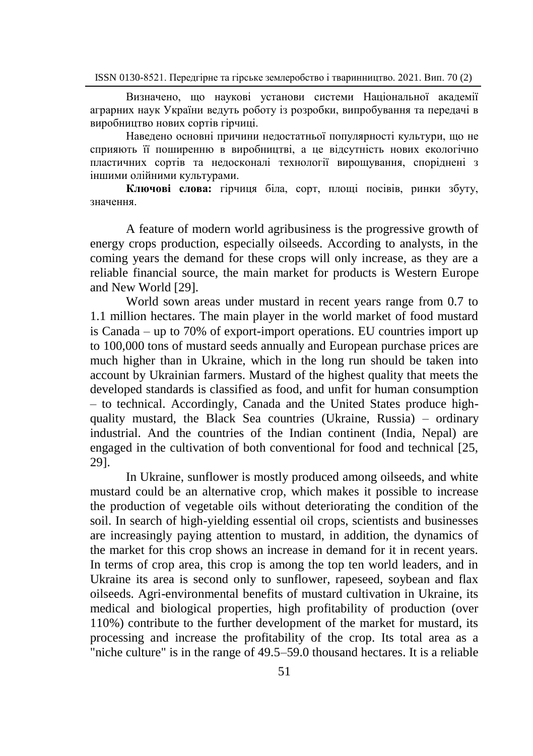Визначено, що наукові установи системи Національної академії аграрних наук України ведуть роботу із розробки, випробування та передачі в виробництво нових сортів гірчиці.

Наведено основні причини недостатньої популярності культури, що не сприяють її поширенню в виробництві, а це відсутність нових екологічно пластичних сортів та недосконалі технології вирощування, споріднені з іншими олійними культурами.

**Ключові слова:** гірчиця біла, сорт, площі посівів, ринки збуту, значення.

A feature of modern world agribusiness is the progressive growth of energy crops production, especially oilseeds. According to analysts, in the coming years the demand for these crops will only increase, as they are a reliable financial source, the main market for products is Western Europe and New World [29].

World sown areas under mustard in recent years range from 0.7 to 1.1 million hectares. The main player in the world market of food mustard is Canada – up to 70% of export-import operations. EU countries import up to 100,000 tons of mustard seeds annually and European purchase prices are much higher than in Ukraine, which in the long run should be taken into account by Ukrainian farmers. Mustard of the highest quality that meets the developed standards is classified as food, and unfit for human consumption – to technical. Accordingly, Canada and the United States produce highquality mustard, the Black Sea countries (Ukraine, Russia) – ordinary industrial. And the countries of the Indian continent (India, Nepal) are engaged in the cultivation of both conventional for food and technical [25, 29].

In Ukraine, sunflower is mostly produced among oilseeds, and white mustard could be an alternative crop, which makes it possible to increase the production of vegetable oils without deteriorating the condition of the soil. In search of high-yielding essential oil crops, scientists and businesses are increasingly paying attention to mustard, in addition, the dynamics of the market for this crop shows an increase in demand for it in recent years. In terms of crop area, this crop is among the top ten world leaders, and in Ukraine its area is second only to sunflower, rapeseed, soybean and flax oilseeds. Agri-environmental benefits of mustard cultivation in Ukraine, its medical and biological properties, high profitability of production (over 110%) contribute to the further development of the market for mustard, its processing and increase the profitability of the crop. Its total area as a "niche culture" is in the range of 49.5–59.0 thousand hectares. It is a reliable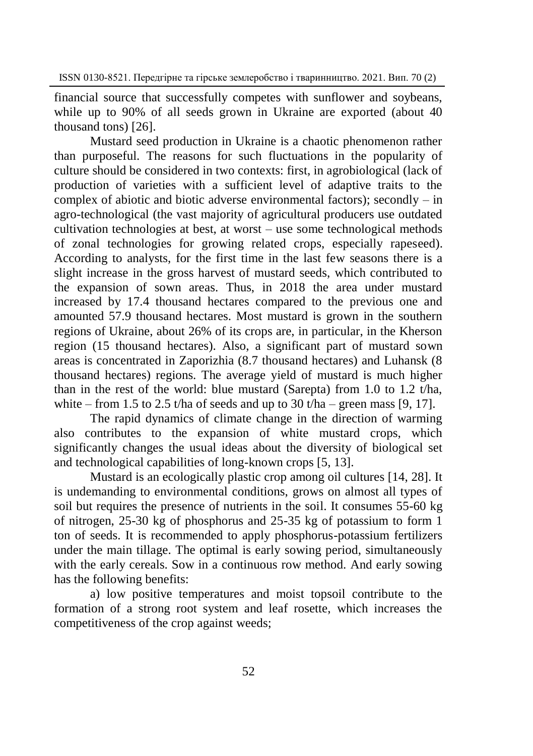financial source that successfully competes with sunflower and soybeans, while up to 90% of all seeds grown in Ukraine are exported (about 40 thousand tons) [26].

Mustard seed production in Ukraine is a chaotic phenomenon rather than purposeful. The reasons for such fluctuations in the popularity of culture should be considered in two contexts: first, in agrobiological (lack of production of varieties with a sufficient level of adaptive traits to the complex of abiotic and biotic adverse environmental factors); secondly  $-$  in agro-technological (the vast majority of agricultural producers use outdated cultivation technologies at best, at worst – use some technological methods of zonal technologies for growing related crops, especially rapeseed). According to analysts, for the first time in the last few seasons there is a slight increase in the gross harvest of mustard seeds, which contributed to the expansion of sown areas. Thus, in 2018 the area under mustard increased by 17.4 thousand hectares compared to the previous one and amounted 57.9 thousand hectares. Most mustard is grown in the southern regions of Ukraine, about 26% of its crops are, in particular, in the Kherson region (15 thousand hectares). Also, a significant part of mustard sown areas is concentrated in Zaporizhia (8.7 thousand hectares) and Luhansk (8 thousand hectares) regions. The average yield of mustard is much higher than in the rest of the world: blue mustard (Sarepta) from 1.0 to 1.2 t/ha, white – from 1.5 to 2.5 t/ha of seeds and up to 30 t/ha – green mass [9, 17].

The rapid dynamics of climate change in the direction of warming also contributes to the expansion of white mustard crops, which significantly changes the usual ideas about the diversity of biological set and technological capabilities of long-known crops [5, 13].

Mustard is an ecologically plastic crop among oil cultures [14, 28]. It is undemanding to environmental conditions, grows on almost all types of soil but requires the presence of nutrients in the soil. It consumes 55-60 kg of nitrogen, 25-30 kg of phosphorus and 25-35 kg of potassium to form 1 ton of seeds. It is recommended to apply phosphorus-potassium fertilizers under the main tillage. The optimal is early sowing period, simultaneously with the early cereals. Sow in a continuous row method. And early sowing has the following benefits:

a) low positive temperatures and moist topsoil contribute to the formation of a strong root system and leaf rosette, which increases the competitiveness of the crop against weeds;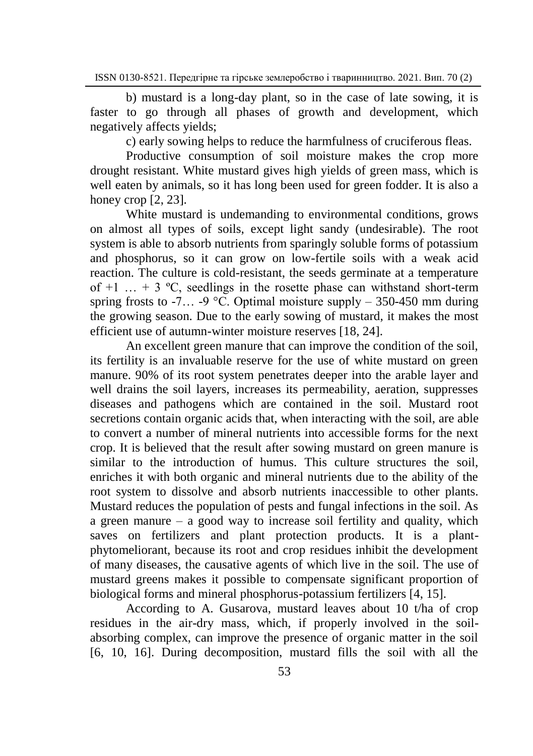b) mustard is a long-day plant, so in the case of late sowing, it is faster to go through all phases of growth and development, which negatively affects yields;

c) early sowing helps to reduce the harmfulness of cruciferous fleas.

Productive consumption of soil moisture makes the crop more drought resistant. White mustard gives high yields of green mass, which is well eaten by animals, so it has long been used for green fodder. It is also a honey crop [2, 23].

White mustard is undemanding to environmental conditions, grows on almost all types of soils, except light sandy (undesirable). The root system is able to absorb nutrients from sparingly soluble forms of potassium and phosphorus, so it can grow on low-fertile soils with a weak acid reaction. The culture is cold-resistant, the seeds germinate at a temperature of  $+1$  ...  $+3$  °C, seedlings in the rosette phase can withstand short-term spring frosts to -7... -9 °C. Optimal moisture supply  $-$  350-450 mm during the growing season. Due to the early sowing of mustard, it makes the most efficient use of autumn-winter moisture reserves [18, 24].

An excellent green manure that can improve the condition of the soil, its fertility is an invaluable reserve for the use of white mustard on green manure. 90% of its root system penetrates deeper into the arable layer and well drains the soil layers, increases its permeability, aeration, suppresses diseases and pathogens which are contained in the soil. Mustard root secretions contain organic acids that, when interacting with the soil, are able to convert a number of mineral nutrients into accessible forms for the next crop. It is believed that the result after sowing mustard on green manure is similar to the introduction of humus. This culture structures the soil, enriches it with both organic and mineral nutrients due to the ability of the root system to dissolve and absorb nutrients inaccessible to other plants. Mustard reduces the population of pests and fungal infections in the soil. As a green manure – a good way to increase soil fertility and quality, which saves on fertilizers and plant protection products. It is a plantphytomeliorant, because its root and crop residues inhibit the development of many diseases, the causative agents of which live in the soil. The use of mustard greens makes it possible to compensate significant proportion of biological forms and mineral phosphorus-potassium fertilizers [4, 15].

According to A. Gusarova, mustard leaves about 10 t/ha of crop residues in the air-dry mass, which, if properly involved in the soilabsorbing complex, can improve the presence of organic matter in the soil [6, 10, 16]. During decomposition, mustard fills the soil with all the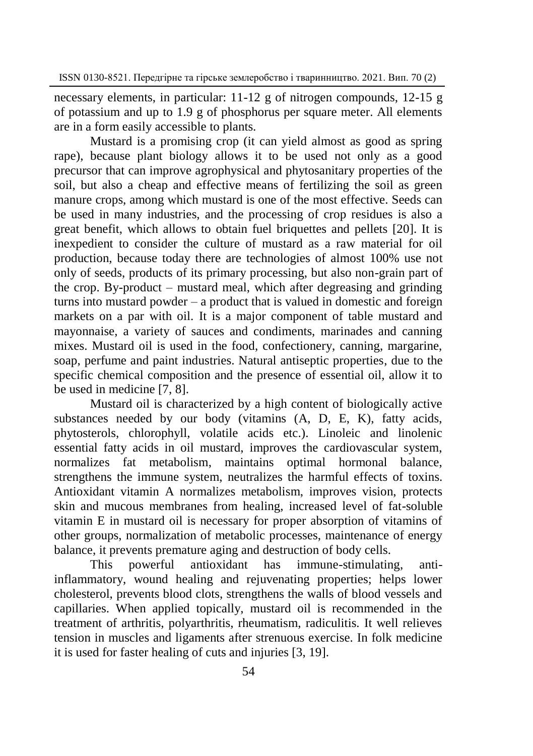necessary elements, in particular: 11-12 g of nitrogen compounds, 12-15 g of potassium and up to 1.9 g of phosphorus per square meter. All elements are in a form easily accessible to plants.

Mustard is a promising crop (it can yield almost as good as spring rape), because plant biology allows it to be used not only as a good precursor that can improve agrophysical and phytosanitary properties of the soil, but also a cheap and effective means of fertilizing the soil as green manure crops, among which mustard is one of the most effective. Seeds can be used in many industries, and the processing of crop residues is also a great benefit, which allows to obtain fuel briquettes and pellets [20]. It is inexpedient to consider the culture of mustard as a raw material for oil production, because today there are technologies of almost 100% use not only of seeds, products of its primary processing, but also non-grain part of the crop. By-product – mustard meal, which after degreasing and grinding turns into mustard powder – a product that is valued in domestic and foreign markets on a par with oil. It is a major component of table mustard and mayonnaise, a variety of sauces and condiments, marinades and canning mixes. Mustard oil is used in the food, confectionery, canning, margarine, soap, perfume and paint industries. Natural antiseptic properties, due to the specific chemical composition and the presence of essential oil, allow it to be used in medicine [7, 8].

Mustard oil is characterized by a high content of biologically active substances needed by our body (vitamins (A, D, E, K), fatty acids, phytosterols, chlorophyll, volatile acids etc.). Linoleic and linolenic essential fatty acids in oil mustard, improves the cardiovascular system, normalizes fat metabolism, maintains optimal hormonal balance, strengthens the immune system, neutralizes the harmful effects of toxins. Antioxidant vitamin A normalizes metabolism, improves vision, protects skin and mucous membranes from healing, increased level of fat-soluble vitamin E in mustard oil is necessary for proper absorption of vitamins of other groups, normalization of metabolic processes, maintenance of energy balance, it prevents premature aging and destruction of body cells.

This powerful antioxidant has immune-stimulating, antiinflammatory, wound healing and rejuvenating properties; helps lower cholesterol, prevents blood clots, strengthens the walls of blood vessels and capillaries. When applied topically, mustard oil is recommended in the treatment of arthritis, polyarthritis, rheumatism, radiculitis. It well relieves tension in muscles and ligaments after strenuous exercise. In folk medicine it is used for faster healing of cuts and injuries [3, 19].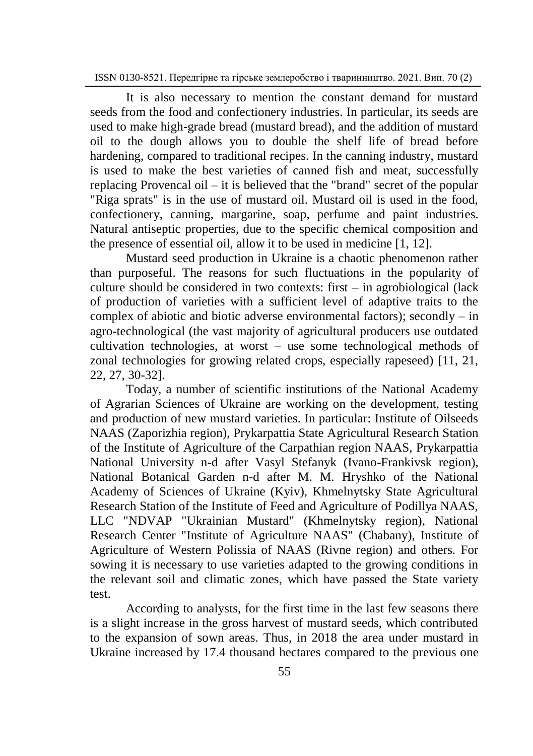It is also necessary to mention the constant demand for mustard seeds from the food and confectionery industries. In particular, its seeds are used to make high-grade bread (mustard bread), and the addition of mustard oil to the dough allows you to double the shelf life of bread before hardening, compared to traditional recipes. In the canning industry, mustard is used to make the best varieties of canned fish and meat, successfully replacing Provencal oil – it is believed that the "brand" secret of the popular "Riga sprats" is in the use of mustard oil. Mustard oil is used in the food, confectionery, canning, margarine, soap, perfume and paint industries. Natural antiseptic properties, due to the specific chemical composition and the presence of essential oil, allow it to be used in medicine [1, 12].

Mustard seed production in Ukraine is a chaotic phenomenon rather than purposeful. The reasons for such fluctuations in the popularity of culture should be considered in two contexts: first – in agrobiological (lack of production of varieties with a sufficient level of adaptive traits to the complex of abiotic and biotic adverse environmental factors); secondly – in agro-technological (the vast majority of agricultural producers use outdated cultivation technologies, at worst – use some technological methods of zonal technologies for growing related crops, especially rapeseed) [11, 21, 22, 27, 30-32].

Today, a number of scientific institutions of the National Academy of Agrarian Sciences of Ukraine are working on the development, testing and production of new mustard varieties. In particular: Institute of Oilseeds NAAS (Zaporizhia region), Prykarpattia State Agricultural Research Station of the Institute of Agriculture of the Carpathian region NAAS, Prykarpattia National University n-d after Vasyl Stefanyk (Ivano-Frankivsk region), National Botanical Garden n-d after M. M. Hryshko of the National Academy of Sciences of Ukraine (Kyiv), Khmelnytsky State Agricultural Research Station of the Institute of Feed and Agriculture of Podillya NAAS, LLC "NDVAP "Ukrainian Mustard" (Khmelnytsky region), National Research Center "Institute of Agriculture NAAS" (Chabany), Institute of Agriculture of Western Polissia of NAAS (Rivne region) and others. For sowing it is necessary to use varieties adapted to the growing conditions in the relevant soil and climatic zones, which have passed the State variety test.

According to analysts, for the first time in the last few seasons there is a slight increase in the gross harvest of mustard seeds, which contributed to the expansion of sown areas. Thus, in 2018 the area under mustard in Ukraine increased by 17.4 thousand hectares compared to the previous one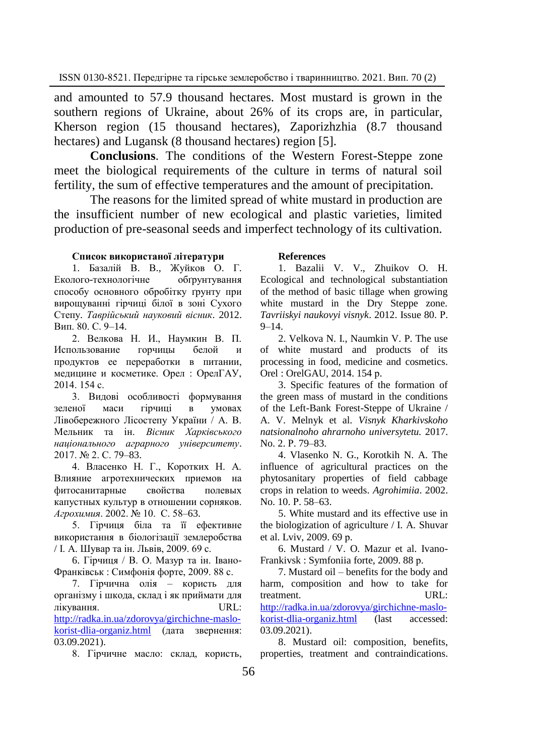and amounted to 57.9 thousand hectares. Most mustard is grown in the southern regions of Ukraine, about 26% of its crops are, in particular, Kherson region (15 thousand hectares), Zaporizhzhia (8.7 thousand hectares) and Lugansk (8 thousand hectares) region [5].

**Conclusions**. The conditions of the Western Forest-Steppe zone meet the biological requirements of the culture in terms of natural soil fertility, the sum of effective temperatures and the amount of precipitation.

The reasons for the limited spread of white mustard in production are the insufficient number of new ecological and plastic varieties, limited production of pre-seasonal seeds and imperfect technology of its cultivation.

### **Список використаної літератури**

1. Базалій В. В., Жуйков О. Г. Еколого-технологічне обґрунтування способу основного обробітку ґрунту при вирощуванні гірчиці білої в зоні Сухого Степу. *Таврійський науковий вісник*. 2012. Вип. 80. С. 9–14.

2. Велкова Н. И., Наумкин В. П. Использование горчины белой продуктов ее переработки в питании, медицине и косметике. Орел : ОрелГАУ, 2014. 154 с.

3. Видові особливості формування зеленої маси гірчиці в умовах Лівобережного Лісостепу України / А. В. Мельник та ін. *Вісник Харківського національного аграрного університету*. 2017. № 2. С. 79–83.

4. Власенко Н. Г., Коротких Н. А. Влияние агротехнических приемов на фитосанитарные свойства полевых капустных культур в отношении сорняков. *Агрохимия*. 2002. № 10. С. 58–63.

5. Гірчиця біла та її ефективне використання в біологізації землеробства / І. А. Шувар та ін. Львів, 2009. 69 с.

6. Гірчиця / В. О. Мазур та ін. Івано-Франківськ : Симфонія форте, 2009. 88 с.

7. Гірчична олія – користь для організму і шкода, склад і як приймати для лікування. URL: [http://radka.in.ua/zdorovya/girchichne-maslo](http://radka.in.ua/zdorovya/girchichne-maslo-korist-dlia-organiz.html)[korist-dlia-organiz.html](http://radka.in.ua/zdorovya/girchichne-maslo-korist-dlia-organiz.html) (дата звернення: 03.09.2021).

8. Гірчичне масло: склад, користь,

### **References**

1. Bazalii V. V., Zhuikov O. H. Ecological and technological substantiation of the method of basic tillage when growing white mustard in the Dry Steppe zone. *Tavriiskyi naukovyi visnyk*. 2012. Issue 80. Р. 9–14.

2. Velkova N. I., Naumkin V. P. The use of white mustard and products of its processing in food, medicine and cosmetics. Orel : OrelGAU, 2014. 154 р.

3. Specific features of the formation of the green mass of mustard in the conditions of the Left-Bank Forest-Steppe of Ukraine / A. V. Melnyk et al. *Visnyk Kharkivskoho natsionalnoho ahrarnoho universytetu.* 2017. No. 2. Р. 79–83.

4. Vlasenko N. G., Korotkih N. A. The influence of agricultural practices on the phytosanitary properties of field cabbage crops in relation to weeds. *Agrohimiia*. 2002. No. 10. Р. 58–63.

5. White mustard and its effective use in the biologization of agriculture / I. A. Shuvar et al. Lviv, 2009. 69 р.

6. Mustard / V. O. Mazur et al. Ivano-Frankivsk : Symfoniia forte, 2009. 88 р.

7. Mustard oil – benefits for the body and harm, composition and how to take for treatment. URL: [http://radka.in.ua/zdorovya/girchichne-maslo](http://radka.in.ua/zdorovya/girchichne-maslo-korist-dlia-organiz.html)[korist-dlia-organiz.html](http://radka.in.ua/zdorovya/girchichne-maslo-korist-dlia-organiz.html) (last accessed: 03.09.2021).

8. Mustard oil: composition, benefits, properties, treatment and contraindications.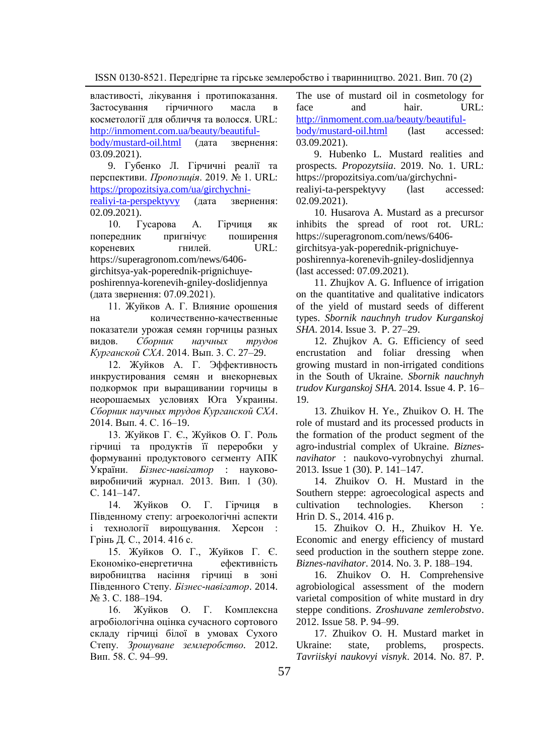властивості, лікування і протипоказання.<br>Застосування стірчичного масла в Застосування гірчичного масла в косметології для обличчя та волосся. URL: [http://inmoment.com.ua/beauty/beautiful-](http://inmoment.com.ua/beauty/beautiful-body/mustard-oil.html)

[body/mustard-oil.html](http://inmoment.com.ua/beauty/beautiful-body/mustard-oil.html) (дата звернення: 03.09.2021).

9. Губенко Л. Гірчичні реалії та перспективи. *Пропозиція*. 2019. № 1. URL: [https://propozitsiya.com/ua/girchychni-](https://propozitsiya.com/ua/girchychni-realiyi-ta-perspektyvy)

[realiyi-ta-perspektyvy](https://propozitsiya.com/ua/girchychni-realiyi-ta-perspektyvy) (дата звернення: 02.09.2021).

10. Гусарова А. Гірчиця як попередник пригнічує поширення кореневих гнилей. URL: https://superagronom.com/news/6406 girchitsya-yak-poperednik-prignichuyeposhirennya-korenevih-gniley-doslidjennya (дата звернення: 07.09.2021).

11. Жуйков А. Г. Влияние орошения на количественно-качественные показатели урожая семян горчицы разных видов. *Сборник научных трудов Курганской СХА*. 2014. Вып. 3. С. 27–29.

12. Жуйков А. Г. Эффективность инкрустирования семян и внекорневых подкормок при выращивании горчицы в неорошаемых условиях Юга Украины. *Сборник научных трудов Курганской СХА*. 2014. Вып. 4. С. 16–19.

13. Жуйков Г. Є., Жуйков О. Г. Роль гірчиці та продуктів її переробки у формуванні продуктового сегменту АПК України. *Бізнес-навігатор* : наукововиробничий журнал. 2013. Вип. 1 (30). С. 141–147.

14. Жуйков О. Г. Гірчиця в Південному степу: агроекологічні аспекти і технології вирощування. Херсон : Грінь Д. С., 2014. 416 с.

15. Жуйков О. Г., Жуйков Г. Є. Економіко-енергетична ефективність виробництва насіння гірчиці в зоні Південного Степу. *Бізнес-навігатор*. 2014. № 3. С. 188–194.

16. Жуйков О. Г. Комплексна агробіологічна оцінка сучасного сортового складу гірчиці білої в умовах Сухого Степу. *[Зрошуване землеробство.](http://www.irbis-nbuv.gov.ua/cgi-bin/irbis_nbuv/cgiirbis_64.exe?Z21ID=&I21DBN=UJRN&P21DBN=UJRN&S21STN=1&S21REF=10&S21FMT=JUU_all&C21COM=S&S21CNR=20&S21P01=0&S21P02=0&S21P03=IJ=&S21COLORTERMS=1&S21STR=%D0%9629307)* 2012. Вип. 58. С. 94–99.

The use of mustard oil in cosmetology for<br>face and hair URL: face and hair. URL: [http://inmoment.com.ua/beauty/beautiful-](http://inmoment.com.ua/beauty/beautiful-body/mustard-oil.html)

[body/mustard-oil.html](http://inmoment.com.ua/beauty/beautiful-body/mustard-oil.html) (last accessed: 03.09.2021).

9. Hubenko L. Mustard realities and prospects. *Propozytsiia*. 2019. No. 1. URL: https://propozitsiya.com/ua/girchychni-

realiyi-ta-perspektyvy (last accessed: 02.09.2021).

10. Husarova A. Mustard as a precursor inhibits the spread of root rot. URL: https://superagronom.com/news/6406 girchitsya-yak-poperednik-prignichuyeposhirennya-korenevih-gniley-doslidjennya (last accessed: 07.09.2021).

11. Zhujkov A. G. Influence of irrigation on the quantitative and qualitative indicators of the yield of mustard seeds of different types. *Sbornik nauchnyh trudov Kurganskoj SHA*. 2014. Issue 3. Р. 27–29.

12. Zhujkov A. G. Efficiency of seed encrustation and foliar dressing when growing mustard in non-irrigated conditions in the South of Ukraine. *Sbornik nauchnyh trudov Kurganskoj SHA*. 2014. Issue 4. Р. 16– 19.

13. Zhuikov H. Ye., Zhuikov O. H. The role of mustard and its processed products in the formation of the product segment of the agro-industrial complex of Ukraine. *Biznesnavihator* : naukovo-vyrobnychyi zhurnal. 2013. Issue 1 (30). P. 141–147.

14. Zhuikov O. H. Mustard in the Southern steppe: agroecological aspects and cultivation technologies. Kherson : Hrin D. S., 2014. 416 р.

15. Zhuikov O. H., Zhuikov H. Ye. Economic and energy efficiency of mustard seed production in the southern steppe zone. *Biznes-navihator*. 2014. No. 3. Р. 188–194.

16. Zhuikov O. H. Comprehensive agrobiological assessment of the modern varietal composition of white mustard in dry steppe conditions. *Zroshuvane zemlerobstvo*. 2012. Issue 58. Р. 94–99.

17. Zhuikov O. H. Mustard market in Ukraine: state, problems, prospects. *Tavriiskyi naukovyi visnyk*. 2014. No. 87. Р.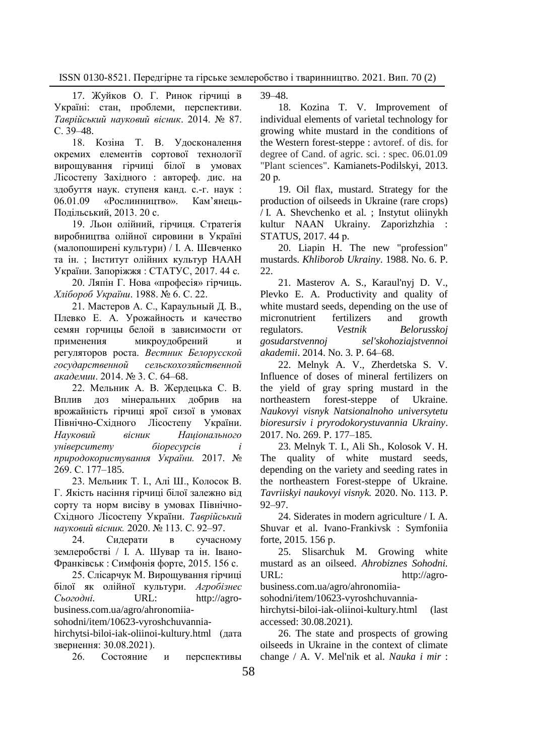17. Жуйков О. Г. Ринок гірчиці в Україні: стан, проблеми, перспективи. *Таврійський науковий вісник*. 2014. № 87. С. 39–48.

18. Козіна Т. В. Удосконалення окремих елементів сортової технології вирощування гірчиці білої в умовах Лісостепу Західного : автореф. дис. на здобуття наук. ступеня канд. с.-г. наук : 06.01.09 «Рослинництво». Кам'янець-Подільський, 2013. 20 с.

19. Льон олійний, гірчиця. Стратегія виробництва олійної сировини в Україні (малопоширені культури) / І. А. Шевченко та ін. ; Інститут олійних культур НААН України. Запоріжжя : СТАТУС, 2017. 44 с.

20. Ляпін Г. Нова «професія» гірчиць. *Хлібороб України*. 1988. № 6. С. 22.

21. Мастеров А. С., Караульный Д. В., Плевко Е. А. Урожайность и качество семян горчицы белой в зависимости от применения микроудобрений и регуляторов роста. *Вестник Белорусской государственной сельскохозяйственной академии*. 2014. № 3. С. 64–68.

22. Мельник А. В. Жердецька С. В. Вплив доз мінеральних добрив на врожайність гірчиці ярої сизої в умовах Північно-Східного Лісостепу України. *Науковий вісник Національного університету біоресурсів і природокористування України.* 2017. № 269. С. 177–185.

23. Мельник Т. І., Алі Ш., Колосок В. Г. Якість насіння гірчиці білої залежно від сорту та норм висіву в умовах Північно-Східного Лісостепу України. *Таврійський науковий вісник.* 2020. № 113. С. 92–97.

24. Сидерати в сучасному землеробстві / І. А. Шувар та ін. Івано-Франківськ : Симфонія форте, 2015. 156 с.

25. Слісарчук М. Вирощування гірчиці білої як олійної культури. *[Агробізнес](Агробізнес%20Сьогодні)  [Сьогодні.](Агробізнес%20Сьогодні)* URL: http://agrobusiness.com.ua/agro/ahronomiia-

sohodni/item/10623-vyroshchuvannia-

hirchytsi-biloi-iak-oliinoi-kultury.html (дата звернення: 30.08.2021).

26. Состояние и перспективы

39–48.

18. Kozina T. V. Improvement of individual elements of varietal technology for growing white mustard in the conditions of the Western forest-steppe : avtoref. of dis. for degree of Cand. of agric. sci. : spec. 06.01.09 "Plant sciences". Kamianets-Podilskyi, 2013. 20 р.

19. Oil flax, mustard. Strategy for the production of oilseeds in Ukraine (rare crops) / I. A. Shevchenko et al. ; Instytut oliinykh kultur NAAN Ukrainy. Zaporizhzhia : STATUS, 2017. 44 р.

20. Liapin H. The new "profession" mustards. *Khliborob Ukrainy*. 1988. No. 6. P.  $22.2$ 

21. Masterov A. S., Karaul'nyj D. V., Plevko E. A. Productivity and quality of white mustard seeds, depending on the use of micronutrient fertilizers and growth regulators. *Vestnik Belorusskoj gosudarstvennoj sel'skohoziajstvennoi akademii*. 2014. No. 3. P. 64–68.

22. Melnyk A. V., Zherdetska S. V. Influence of doses of mineral fertilizers on the yield of gray spring mustard in the northeastern forest-steppe of Ukraine. *Naukovyi visnyk Natsionalnoho universytetu bioresursiv i pryrodokorystuvannia Ukrainy*. 2017. No. 269. Р. 177–185.

23. Melnyk T. I., Ali Sh., Kolosok V. H. The quality of white mustard seeds, depending on the variety and seeding rates in the northeastern Forest-steppe of Ukraine. *Tavriiskyi naukovyi visnyk.* 2020. No. 113. Р. 92–97.

24. Siderates in modern agriculture / I. A. Shuvar et al. Ivano-Frankivsk : Symfoniia forte, 2015. 156 р.

25. Slisarchuk M. Growing white mustard as an oilseed. *Ahrobiznes Sohodni.* URL: http://agro-

business.com.ua/agro/ahronomiia-

sohodni/item/10623-vyroshchuvannia-

hirchytsi-biloi-iak-oliinoi-kultury.html (last accessed: 30.08.2021).

26. The state and prospects of growing oilseeds in Ukraine in the context of climate change / A. V. Mel'nik et al. *Nauka i mir* :